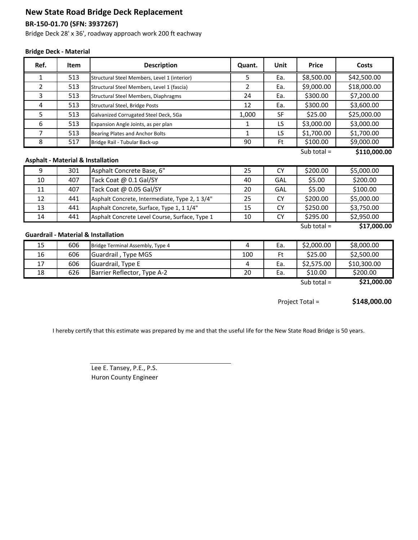# **New State Road Bridge Deck Replacement**

### **BR-150-01.70 (SFN: 3937267)**

Bridge Deck 28' x 36', roadway approach work 200 ft eachway

#### **Bridge Deck - Material**

| Ref.                                                                           | Item | <b>Description</b>                             | Quant.         | Unit      | <b>Price</b>  | Costs       |
|--------------------------------------------------------------------------------|------|------------------------------------------------|----------------|-----------|---------------|-------------|
| $\mathbf{1}$                                                                   | 513  | Structural Steel Members, Level 1 (interior)   | 5              | Ea.       | \$8,500.00    | \$42,500.00 |
| $\overline{2}$                                                                 | 513  | Structural Steel Members, Level 1 (fascia)     | $\overline{2}$ | Ea.       | \$9,000.00    | \$18,000.00 |
| 3                                                                              | 513  | Structural Steel Members, Diaphragms           | 24             | Ea.       | \$300.00      | \$7,200.00  |
| 4                                                                              | 513  | Structural Steel, Bridge Posts                 | 12             | Ea.       | \$300.00      | \$3,600.00  |
| 5                                                                              | 513  | Galvanized Corrugated Steel Deck, 5Ga          | 1,000          | <b>SF</b> | \$25.00       | \$25,000.00 |
| 6                                                                              | 513  | Expansion Angle Joints, as per plan            | 1              | LS        | \$3,000.00    | \$3,000.00  |
| 7                                                                              | 513  | Bearing Plates and Anchor Bolts                | $\mathbf{1}$   | LS        | \$1,700.00    | \$1,700.00  |
| 8                                                                              | 517  | Bridge Rail - Tubular Back-up                  | 90             | Ft        | \$100.00      | \$9,000.00  |
| Sub total $=$<br>\$110,000.00<br><b>Asphalt - Material &amp; Installation</b>  |      |                                                |                |           |               |             |
| 9                                                                              | 301  | Asphalt Concrete Base, 6"                      | 25             | <b>CY</b> | \$200.00      | \$5,000.00  |
| 10                                                                             | 407  | Tack Coat @ 0.1 Gal/SY                         | 40             | GAL       | \$5.00        | \$200.00    |
| 11                                                                             | 407  | Tack Coat @ 0.05 Gal/SY                        | 20             | GAL       | \$5.00        | \$100.00    |
| 12                                                                             | 441  | Asphalt Concrete, Intermediate, Type 2, 1 3/4" | 25             | <b>CY</b> | \$200.00      | \$5,000.00  |
| 13                                                                             | 441  | Asphalt Concrete, Surface, Type 1, 1 1/4"      | 15             | <b>CY</b> | \$250.00      | \$3,750.00  |
| 14                                                                             | 441  | Asphalt Concrete Level Course, Surface, Type 1 | 10             | <b>CY</b> | \$295.00      | \$2,950.00  |
| \$17,000.00<br>Sub total $=$<br><b>Guardrail - Material &amp; Installation</b> |      |                                                |                |           |               |             |
| 15                                                                             | 606  | Bridge Terminal Assembly, Type 4               | 4              | Ea.       | \$2,000.00    | \$8,000.00  |
| 16                                                                             | 606  | Guardrail, Type MGS                            | 100            | Ft        | \$25.00       | \$2,500.00  |
| 17                                                                             | 606  | Guardrail, Type E                              | 4              | Ea.       | \$2,575.00    | \$10,300.00 |
| 18                                                                             | 626  | Barrier Reflector, Type A-2                    | 20             | Ea.       | \$10.00       | \$200.00    |
|                                                                                |      |                                                |                |           | Sub total $=$ | \$21,000.00 |

**\$148,000.00** Project Total =

I hereby certify that this estimate was prepared by me and that the useful life for the New State Road Bridge is 50 years.

Lee E. Tansey, P.E., P.S. Huron County Engineer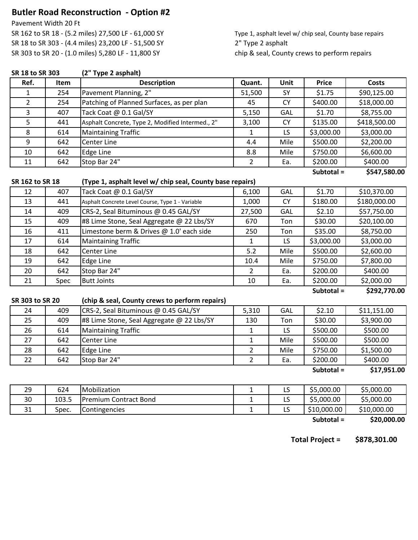# **Butler Road Reconstruction - Option #2**

Pavement Width 20 Ft

SR 162 to SR 18 - (5.2 miles) 27,500 LF - 61,000 SY Type 1, asphalt level w/ chip seal, County base repairs SR 18 to SR 303 - (4.4 miles) 23,200 LF - 51,500 SY 2" Type 2 asphalt SR 303 to SR 20 - (1.0 miles) 5,280 LF - 11,800 SY chip & seal, County crews to perform repairs

| SR 18 to SR 303 |       | (2" Type 2 asphalt)                                       |                |            |              |              |  |  |
|-----------------|-------|-----------------------------------------------------------|----------------|------------|--------------|--------------|--|--|
| Ref.            | Item  | <b>Description</b>                                        | Quant.         | Unit       | <b>Price</b> | <b>Costs</b> |  |  |
| $\mathbf{1}$    | 254   | Pavement Planning, 2"                                     | 51,500         | SY         | \$1.75       | \$90,125.00  |  |  |
| $\overline{2}$  | 254   | Patching of Planned Surfaces, as per plan                 | 45             | <b>CY</b>  | \$400.00     | \$18,000.00  |  |  |
| 3               | 407   | Tack Coat @ 0.1 Gal/SY                                    | 5,150          | <b>GAL</b> | \$1.70       | \$8,755.00   |  |  |
| 5               | 441   | Asphalt Concrete, Type 2, Modified Intermed., 2"          | 3,100          | <b>CY</b>  | \$135.00     | \$418,500.00 |  |  |
| $\,8\,$         | 614   | <b>Maintaining Traffic</b>                                | 1              | LS         | \$3,000.00   | \$3,000.00   |  |  |
| $\overline{9}$  | 642   | Center Line                                               | 4.4            | Mile       | \$500.00     | \$2,200.00   |  |  |
| 10              | 642   | <b>Edge Line</b>                                          | 8.8            | Mile       | \$750.00     | \$6,600.00   |  |  |
| 11              | 642   | Stop Bar 24"                                              | $\overline{2}$ | Ea.        | \$200.00     | \$400.00     |  |  |
|                 |       |                                                           |                |            | Subtotal =   | \$547,580.00 |  |  |
| SR 162 to SR 18 |       | (Type 1, asphalt level w/ chip seal, County base repairs) |                |            |              |              |  |  |
| 12              | 407   | Tack Coat @ 0.1 Gal/SY                                    | 6,100          | GAL        | \$1.70       | \$10,370.00  |  |  |
| 13              | 441   | Asphalt Concrete Level Course, Type 1 - Variable          | 1,000          | <b>CY</b>  | \$180.00     | \$180,000.00 |  |  |
| 14              | 409   | CRS-2, Seal Bituminous @ 0.45 GAL/SY                      | 27,500         | <b>GAL</b> | \$2.10       | \$57,750.00  |  |  |
| 15              | 409   | #8 Lime Stone, Seal Aggregate @ 22 Lbs/SY                 | 670            | Ton        | \$30.00      | \$20,100.00  |  |  |
| 16              | 411   | Limestone berm & Drives @ 1.0' each side                  | 250            | Ton        | \$35.00      | \$8,750.00   |  |  |
| 17              | 614   | <b>Maintaining Traffic</b>                                | $\mathbf{1}$   | LS         | \$3,000.00   | \$3,000.00   |  |  |
| 18              | 642   | Center Line                                               | $5.2$          | Mile       | \$500.00     | \$2,600.00   |  |  |
| 19              | 642   | <b>Edge Line</b>                                          | 10.4           | Mile       | \$750.00     | \$7,800.00   |  |  |
| 20              | 642   | Stop Bar 24"                                              | $\overline{2}$ | Ea.        | \$200.00     | \$400.00     |  |  |
| 21              | Spec  | <b>Butt Joints</b>                                        | 10             | Ea.        | \$200.00     | \$2,000.00   |  |  |
|                 |       |                                                           |                |            | Subtotal =   | \$292,770.00 |  |  |
| SR 303 to SR 20 |       | (chip & seal, County crews to perform repairs)            |                |            |              |              |  |  |
| 24              | 409   | CRS-2, Seal Bituminous @ 0.45 GAL/SY                      | 5,310          | GAL        | \$2.10       | \$11,151.00  |  |  |
| 25              | 409   | #8 Lime Stone, Seal Aggregate @ 22 Lbs/SY                 | 130            | Ton        | \$30.00      | \$3,900.00   |  |  |
| 26              | 614   | <b>Maintaining Traffic</b>                                | $\mathbf{1}$   | LS         | \$500.00     | \$500.00     |  |  |
| 27              | 642   | Center Line                                               | $\mathbf{1}$   | Mile       | \$500.00     | \$500.00     |  |  |
| 28              | 642   | <b>Edge Line</b>                                          | $\overline{2}$ | Mile       | \$750.00     | \$1,500.00   |  |  |
| 22              | 642   | Stop Bar 24"                                              | $\overline{2}$ | Ea.        | \$200.00     | \$400.00     |  |  |
|                 |       |                                                           |                |            | Subtotal =   | \$17,951.00  |  |  |
|                 |       |                                                           |                |            |              |              |  |  |
| 29              | 624   | Mobilization                                              | $\mathbf{1}$   | LS         | \$5,000.00   | \$5,000.00   |  |  |
| 30              | 103.5 | <b>Premium Contract Bond</b>                              | $\mathbf{1}$   | LS         | \$5,000.00   | \$5,000.00   |  |  |
| 31              | Spec. | Contingencies                                             | $\mathbf{1}$   | LS         | \$10,000.00  | \$10,000.00  |  |  |

**\$20,000.00 Subtotal =**

**\$878,301.00 Total Project =**